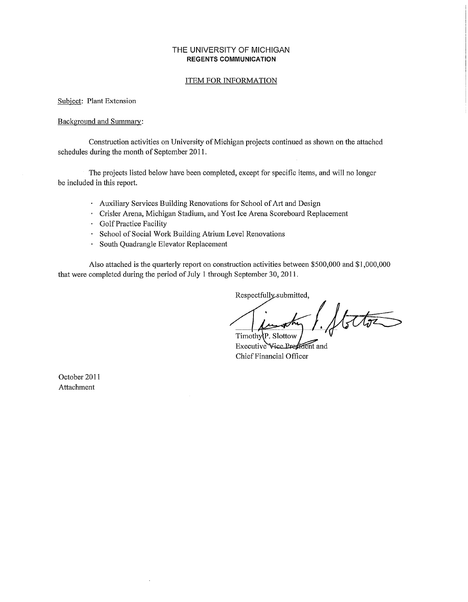#### **THE** UNIVERSITY OF MICHIGAN **REGENTS COMMUNICATION**

Approved by the Regents October 13, 2011

#### ITEM FOR INFORMATION

Subject: Plant Extension

#### Background and Summary:

Construction activities on University of Michigan projects continued as shown on the attached schedules during the month of September 2011.

The projects listed below have been completed, except for specific items, and will no longer be included in this report.

- Auxiliary Services Building Renovations for School of Att and Design
- Crisler Arena, Michigan Stadium, and Yost Ice Arena Scoreboard Replacement
- Golf Practice Facility
- School of Social Work Building Atrium Level Renovations
- South Quadrangle Elevator Replacement

Also attached is the quarterly report on construction activities between \$500,000 and \$1,000,000 that were completed during the period of July 1 through September 30, 2011.

Respectfully submitted,

Votos Timothy<sub>(P.</sub> Slottow

Executive Vice Predident and Chief Financial Officer

October 2011 Attachment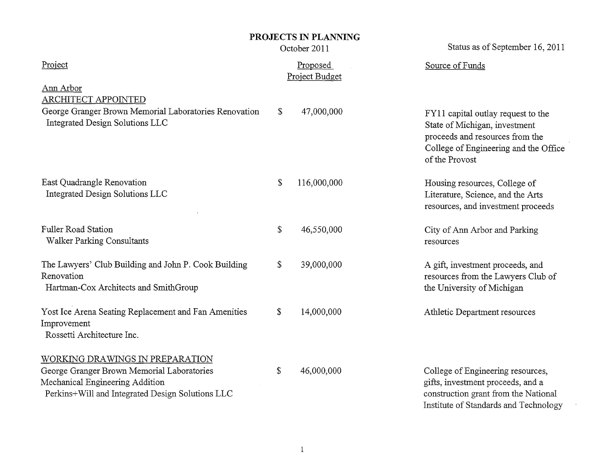## **PROJECTS IN PLANNING**

Status as of September 16, 2011

|                                                                                                                                                                      |              | October 2011               | Status as of September 16, 2011                                                                                                                                   |
|----------------------------------------------------------------------------------------------------------------------------------------------------------------------|--------------|----------------------------|-------------------------------------------------------------------------------------------------------------------------------------------------------------------|
| Project                                                                                                                                                              |              | Proposed<br>Project Budget | Source of Funds                                                                                                                                                   |
| Ann Arbor<br><b>ARCHITECT APPOINTED</b><br>George Granger Brown Memorial Laboratories Renovation<br>Integrated Design Solutions LLC                                  | \$           | 47,000,000                 | FY11 capital outlay request to the<br>State of Michigan, investment<br>proceeds and resources from the<br>College of Engineering and the Office<br>of the Provost |
| East Quadrangle Renovation<br>Integrated Design Solutions LLC                                                                                                        | \$           | 116,000,000                | Housing resources, College of<br>Literature, Science, and the Arts<br>resources, and investment proceeds                                                          |
| Fuller Road Station<br><b>Walker Parking Consultants</b>                                                                                                             | \$           | 46,550,000                 | City of Ann Arbor and Parking<br>resources                                                                                                                        |
| The Lawyers' Club Building and John P. Cook Building<br>Renovation<br>Hartman-Cox Architects and SmithGroup                                                          | $\mathbb{S}$ | 39,000,000                 | A gift, investment proceeds, and<br>resources from the Lawyers Club of<br>the University of Michigan                                                              |
| Yost Ice Arena Seating Replacement and Fan Amenities<br>Improvement<br>Rossetti Architecture Inc.                                                                    | \$           | 14,000,000                 | Athletic Department resources                                                                                                                                     |
| WORKING DRAWINGS IN PREPARATION<br>George Granger Brown Memorial Laboratories<br>Mechanical Engineering Addition<br>Perkins+Will and Integrated Design Solutions LLC | \$           | 46,000,000                 | College of Engineering resources,<br>gifts, investment proceeds, and a<br>construction grant from the National<br>Institute of Standards and Technology           |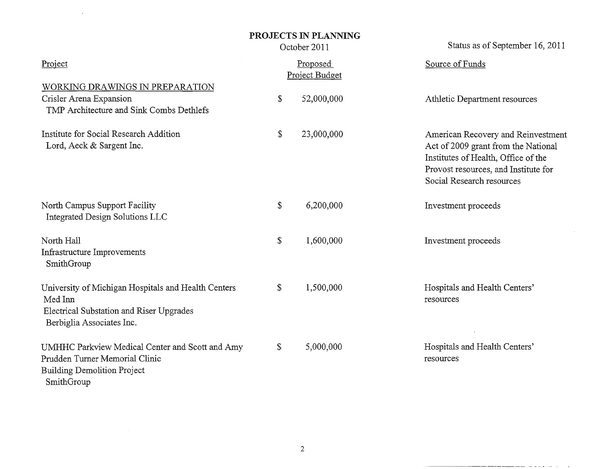### **PROJECTS IN PLANNING**  October 2011

 $\sim 10$ 

Status as of September 16, 2011

 $\sim$ 

التواري المواردة والمستحدث والمستحد

| Project                                                                                                                                 |              | Proposed<br>Project Budget | Source of Funds                                                                                                                                                                       |
|-----------------------------------------------------------------------------------------------------------------------------------------|--------------|----------------------------|---------------------------------------------------------------------------------------------------------------------------------------------------------------------------------------|
| WORKING DRAWINGS IN PREPARATION<br>Crisler Arena Expansion<br>TMP Architecture and Sink Combs Dethlefs                                  | \$           | 52,000,000                 | Athletic Department resources                                                                                                                                                         |
| Institute for Social Research Addition<br>Lord, Aeck & Sargent Inc.                                                                     | $\mathbb{S}$ | 23,000,000                 | American Recovery and Reinvestment<br>Act of 2009 grant from the National<br>Institutes of Health, Office of the<br>Provost resources, and Institute for<br>Social Research resources |
| North Campus Support Facility<br>Integrated Design Solutions LLC                                                                        | \$           | 6,200,000                  | Investment proceeds                                                                                                                                                                   |
| North Hall<br>Infrastructure Improvements<br>SmithGroup                                                                                 | \$           | 1,600,000                  | Investment proceeds                                                                                                                                                                   |
| University of Michigan Hospitals and Health Centers<br>Med Inn<br>Electrical Substation and Riser Upgrades<br>Berbiglia Associates Inc. | \$           | 1,500,000                  | Hospitals and Health Centers'<br>resources                                                                                                                                            |
| UMHHC Parkview Medical Center and Scott and Amy<br>Prudden Turner Memorial Clinic<br><b>Building Demolition Project</b><br>SmithGroup   | $\mathbb{S}$ | 5,000,000                  | Hospitals and Health Centers'<br>resources                                                                                                                                            |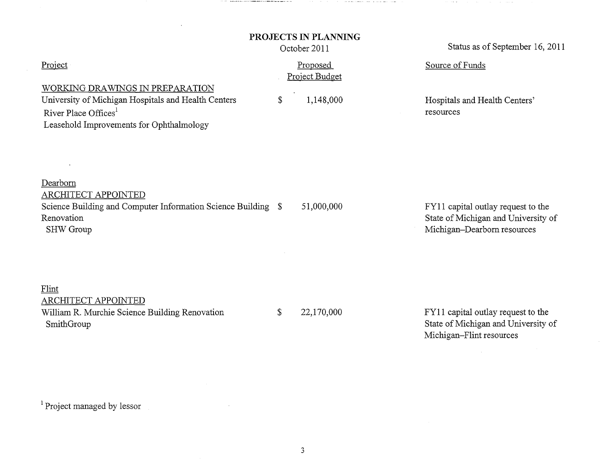### **PROJECTS IN PLANNING**

a construction and construction of the construction and construction of the construction of the construction of

 $\sim$  100  $\sim$  100  $\sim$ 

|                                                                                                                                                                        | PROJECTS IN PLANNING<br>October 2011 | Status as of September 16, 2011                                                                          |  |  |  |
|------------------------------------------------------------------------------------------------------------------------------------------------------------------------|--------------------------------------|----------------------------------------------------------------------------------------------------------|--|--|--|
| Project                                                                                                                                                                | Proposed<br>Project Budget           | Source of Funds                                                                                          |  |  |  |
| WORKING DRAWINGS IN PREPARATION<br>University of Michigan Hospitals and Health Centers<br>River Place Offices <sup>1</sup><br>Leasehold Improvements for Ophthalmology | \$<br>1,148,000                      | Hospitals and Health Centers'<br>resources                                                               |  |  |  |
| Dearborn<br><b>ARCHITECT APPOINTED</b><br>Science Building and Computer Information Science Building \$<br>Renovation<br>SHW Group                                     | 51,000,000                           | FY11 capital outlay request to the<br>State of Michigan and University of<br>Michigan-Dearborn resources |  |  |  |
| Flint<br>ARCHITECT APPOINTED<br>William R. Murchie Science Building Renovation<br>SmithGroup                                                                           | \$<br>22,170,000                     | FY11 capital outlay request to the<br>State of Michigan and University of<br>Michigan-Flint resources    |  |  |  |
|                                                                                                                                                                        |                                      |                                                                                                          |  |  |  |

<sup>1</sup> Project managed by lessor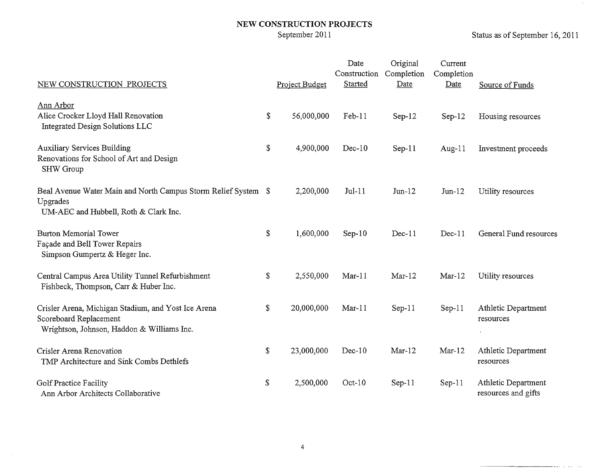# NEW CONSTRUCTION PROJECTS<br>September 2011

Status as of September 16, 2011

 $\sim 10^{-11}$ 

المواردة المتحصص

. . . . .

| NEW CONSTRUCTION PROJECTS                                                                                                   | Project Budget   | Date<br>Construction<br>Started | Original<br>Completion<br>Date | Current<br>Completion<br>Date | Source of Funds                            |
|-----------------------------------------------------------------------------------------------------------------------------|------------------|---------------------------------|--------------------------------|-------------------------------|--------------------------------------------|
| Ann Arbor<br>Alice Crocker Lloyd Hall Renovation<br>Integrated Design Solutions LLC                                         | \$<br>56,000,000 | $Feb-11$                        | $Sep-12$                       | $Sep-12$                      | Housing resources                          |
| <b>Auxiliary Services Building</b><br>Renovations for School of Art and Design<br>SHW Group                                 | \$<br>4,900,000  | $Dec-10$                        | $Sep-11$                       | Aug- $11$                     | Investment proceeds                        |
| Beal Avenue Water Main and North Campus Storm Relief System \$<br>Upgrades<br>UM-AEC and Hubbell, Roth & Clark Inc.         | 2,200,000        | $Jul-11$                        | $Jun-12$                       | $Jun-12$                      | Utility resources                          |
| <b>Burton Memorial Tower</b><br>Façade and Bell Tower Repairs<br>Simpson Gumpertz & Heger Inc.                              | \$<br>1,600,000  | $Sep-10$                        | $Dec-11$                       | $Dec-11$                      | General Fund resources                     |
| Central Campus Area Utility Tunnel Refurbishment<br>Fishbeck, Thompson, Carr & Huber Inc.                                   | \$<br>2,550,000  | $Mar-11$                        | $Mar-12$                       | $Mar-12$                      | Utility resources                          |
| Crisler Arena, Michigan Stadium, and Yost Ice Arena<br>Scoreboard Replacement<br>Wrightson, Johnson, Haddon & Williams Inc. | \$<br>20,000,000 | $Mar-11$                        | $Sep-11$                       | $Sep-11$                      | Athletic Department<br>resources           |
| Crisler Arena Renovation<br>TMP Architecture and Sink Combs Dethlefs                                                        | \$<br>23,000,000 | $Dec-10$                        | $Mar-12$                       | $Mar-12$                      | Athletic Department<br>resources           |
| Golf Practice Facility<br>Ann Arbor Architects Collaborative                                                                | \$<br>2,500,000  | $Oct-10$                        | $Sep-11$                       | $Sep-11$                      | Athletic Department<br>resources and gifts |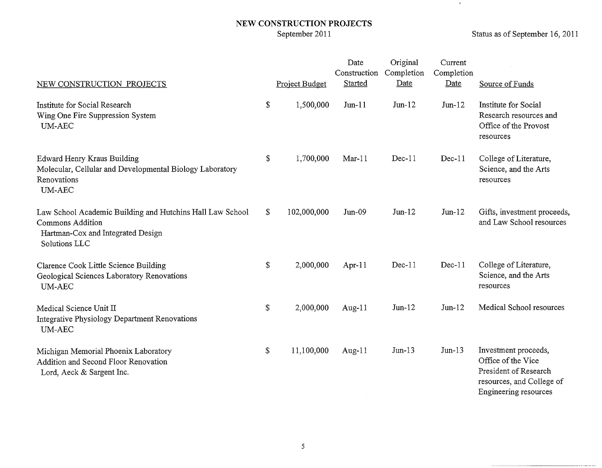## NEW CONSTRUCTION PROJECTS<br>September 2011

 $\label{eq:1} \begin{split} \mathcal{L}^{(1)}(x) &= \mathcal{L}^{(1)}(x) \otimes \mathcal{L}^{(2)}(x) \otimes \mathcal{L}^{(1)}(x) \otimes \mathcal{L}^{(2)}(x) \otimes \mathcal{L}^{(1)}(x) \otimes \mathcal{L}^{(2)}(x) \otimes \mathcal{L}^{(1)}(x) \otimes \mathcal{L}^{(2)}(x) \otimes \mathcal{L}^{(1)}(x) \otimes \mathcal{L}^{(1)}(x) \otimes \mathcal{L}^{(1)}(x) \otimes \mathcal{L}^{(1)}(x) \otimes \math$ 

\_\_\_\_\_\_\_\_\_

 $\bullet$ 

| NEW CONSTRUCTION PROJECTS                                                                                                           |                | Project Budget | Date<br>Construction<br><b>Started</b> | Original<br>Completion<br>Date | Current<br>Completion<br>Date | Source of Funds                                                                                                           |
|-------------------------------------------------------------------------------------------------------------------------------------|----------------|----------------|----------------------------------------|--------------------------------|-------------------------------|---------------------------------------------------------------------------------------------------------------------------|
| Institute for Social Research<br>Wing One Fire Suppression System<br><b>UM-AEC</b>                                                  | \$             | 1,500,000      | $Jun-11$                               | $Jun-12$                       | $Jun-12$                      | Institute for Social<br>Research resources and<br>Office of the Provost<br>resources                                      |
| Edward Henry Kraus Building<br>Molecular, Cellular and Developmental Biology Laboratory<br>Renovations<br><b>UM-AEC</b>             | $\mathfrak{F}$ | 1,700,000      | $Mar-11$                               | Dec-11                         | $Dec-11$                      | College of Literature,<br>Science, and the Arts<br>resources                                                              |
| Law School Academic Building and Hutchins Hall Law School<br>Commons Addition<br>Hartman-Cox and Integrated Design<br>Solutions LLC | \$             | 102,000,000    | $Jun-09$                               | $Jun-12$                       | $Jun-12$                      | Gifts, investment proceeds,<br>and Law School resources                                                                   |
| Clarence Cook Little Science Building<br>Geological Sciences Laboratory Renovations<br><b>UM-AEC</b>                                | $\$$           | 2,000,000      | Apr-11                                 | $Dec-11$                       | $Dec-11$                      | College of Literature,<br>Science, and the Arts<br>resources                                                              |
| Medical Science Unit II<br>Integrative Physiology Department Renovations<br><b>UM-AEC</b>                                           | \$             | 2,000,000      | Aug- $11$                              | $Jun-12$                       | $Jun-12$                      | Medical School resources                                                                                                  |
| Michigan Memorial Phoenix Laboratory<br>Addition and Second Floor Renovation<br>Lord, Aeck & Sargent Inc.                           | \$             | 11,100,000     | Aug- $11$                              | $Jun-13$                       | $Jun-13$                      | Investment proceeds,<br>Office of the Vice<br>President of Research<br>resources, and College of<br>Engineering resources |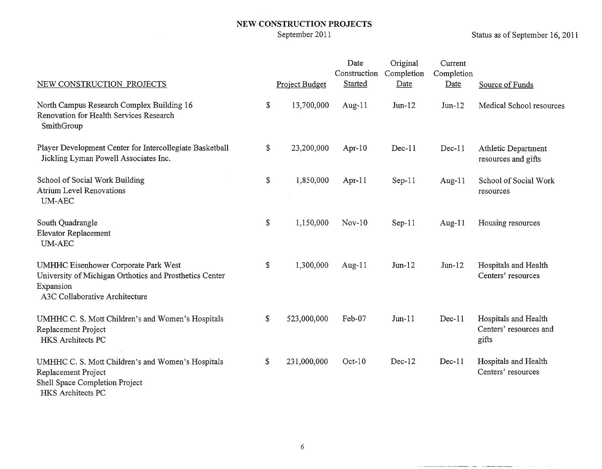# **NEW CONSTRUCTION PROJECTS**

Status as of September 16, 2011

 $\sim 100$ 

 $\sim$  -  $\sim$  -  $\sim$ 

| NEW CONSTRUCTION PROJECTS                                                                                                                             | Project Budget    | Date<br>Construction<br>Started | Original<br>Completion<br>Date | Current<br>Completion<br>Date | Source of Funds                                         |
|-------------------------------------------------------------------------------------------------------------------------------------------------------|-------------------|---------------------------------|--------------------------------|-------------------------------|---------------------------------------------------------|
|                                                                                                                                                       |                   |                                 |                                |                               |                                                         |
| North Campus Research Complex Building 16<br>Renovation for Health Services Research<br>SmithGroup                                                    | \$<br>13,700,000  | Aug- $11$                       | $Jun-12$                       | $Jun-12$                      | Medical School resources                                |
| Player Development Center for Intercollegiate Basketball<br>Jickling Lyman Powell Associates Inc.                                                     | \$<br>23,200,000  | Apr-10                          | $Dec-11$                       | $Dec-11$                      | Athletic Department<br>resources and gifts              |
| School of Social Work Building<br><b>Atrium Level Renovations</b><br><b>UM-AEC</b>                                                                    | \$<br>1,850,000   | Apr-11                          | $Sep-11$                       | Aug- $11$                     | School of Social Work<br>resources                      |
| South Quadrangle<br>Elevator Replacement<br><b>UM-AEC</b>                                                                                             | \$<br>1,150,000   | $Nov-10$                        | $Sep-11$                       | Aug-11                        | Housing resources                                       |
| <b>UMHHC Eisenhower Corporate Park West</b><br>University of Michigan Orthotics and Prosthetics Center<br>Expansion<br>A3C Collaborative Architecture | \$<br>1,300,000   | Aug- $11$                       | $Jun-12$                       | $Jun-12$                      | Hospitals and Health<br>Centers' resources              |
| UMHHC C. S. Mott Children's and Women's Hospitals<br>Replacement Project<br>HKS Architects PC                                                         | \$<br>523,000,000 | Feb-07                          | $Jun-11$                       | $Dec-11$                      | Hospitals and Health<br>Centers' resources and<br>gifts |
| UMHHC C. S. Mott Children's and Women's Hospitals<br>Replacement Project<br>Shell Space Completion Project<br>HKS Architects PC                       | \$<br>231,000,000 | $Oct-10$                        | Dec-12                         | $Dec-11$                      | Hospitals and Health<br>Centers' resources              |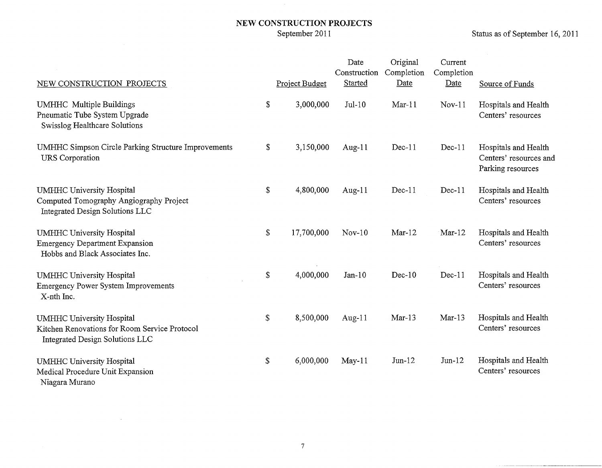# **NEW CONSTRUCTION PROJECTS**

 $\sim$ 

Status as of September 16, 2011

| NEW CONSTRUCTION PROJECTS                                                                                            |                           | Project Budget | Date<br>Construction<br>Started | Original<br>Completion<br>Date | Current<br>Completion<br>Date | Source of Funds                                                     |
|----------------------------------------------------------------------------------------------------------------------|---------------------------|----------------|---------------------------------|--------------------------------|-------------------------------|---------------------------------------------------------------------|
| <b>UMHHC</b> Multiple Buildings<br>Pneumatic Tube System Upgrade<br>Swisslog Healthcare Solutions                    | \$                        | 3,000,000      | $Jul-10$                        | $Mar-11$                       | $Nov-11$                      | Hospitals and Health<br>Centers' resources                          |
| <b>UMHHC Simpson Circle Parking Structure Improvements</b><br><b>URS</b> Corporation                                 | \$                        | 3,150,000      | Aug- $11$                       | $Dec-11$                       | $Dec-11$                      | Hospitals and Health<br>Centers' resources and<br>Parking resources |
| <b>UMHHC University Hospital</b><br>Computed Tomography Angiography Project<br>Integrated Design Solutions LLC       | $\boldsymbol{\mathsf{S}}$ | 4,800,000      | Aug-11                          | $Dec-11$                       | $Dec-11$                      | Hospitals and Health<br>Centers' resources                          |
| <b>UMHHC University Hospital</b><br><b>Emergency Department Expansion</b><br>Hobbs and Black Associates Inc.         | \$                        | 17,700,000     | $Nov-10$                        | $Mar-12$                       | $Mar-12$                      | Hospitals and Health<br>Centers' resources                          |
| <b>UMHHC University Hospital</b><br><b>Emergency Power System Improvements</b><br>X-nth Inc.                         | \$                        | 4,000,000      | $Jan-10$                        | $Dec-10$                       | $Dec-11$                      | Hospitals and Health<br>Centers' resources                          |
| <b>UMHHC University Hospital</b><br>Kitchen Renovations for Room Service Protocol<br>Integrated Design Solutions LLC | \$                        | 8,500,000      | Aug- $11$                       | $Mar-13$                       | $Mar-13$                      | Hospitals and Health<br>Centers' resources                          |
| <b>UMHHC University Hospital</b><br>Medical Procedure Unit Expansion<br>Niagara Murano                               | \$                        | 6,000,000      | $May-11$                        | $Jun-12$                       | $Jun-12$                      | Hospitals and Health<br>Centers' resources                          |

 $\mathcal{L}^{\text{max}}_{\text{max}}$  and  $\mathcal{L}^{\text{max}}_{\text{max}}$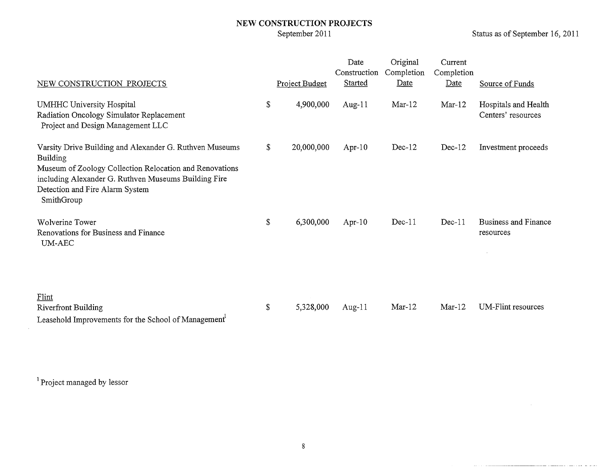### **NEW CONSTRUCTION PROJECTS**  September 2011

Status as of September 16, 2011

للافت والمستورة الماست والمستشرق والمستعدد

| NEW CONSTRUCTION PROJECTS                                                                                                                                                                                                                      |               | Project Budget | Date<br>Construction<br>Started | Original<br>Completion<br>Date | Current<br>Completion<br>Date | Source of Funds                            |
|------------------------------------------------------------------------------------------------------------------------------------------------------------------------------------------------------------------------------------------------|---------------|----------------|---------------------------------|--------------------------------|-------------------------------|--------------------------------------------|
| UMHHC University Hospital<br>Radiation Oncology Simulator Replacement<br>Project and Design Management LLC                                                                                                                                     | \$            | 4,900,000      | Aug- $11$                       | $Mar-12$                       | $Mar-12$                      | Hospitals and Health<br>Centers' resources |
| Varsity Drive Building and Alexander G. Ruthven Museums<br><b>Building</b><br>Museum of Zoology Collection Relocation and Renovations<br>including Alexander G. Ruthven Museums Building Fire<br>Detection and Fire Alarm System<br>SmithGroup | \$            | 20,000,000     | Apr- $10$                       | $Dec-12$                       | $Dec-12$                      | Investment proceeds                        |
| Wolverine Tower<br>Renovations for Business and Finance<br>UM-AEC                                                                                                                                                                              | \$            | 6,300,000      | Apr- $10$                       | $Dec-11$                       | $Dec-11$                      | Business and Finance<br>resources          |
| Flint<br><b>Riverfront Building</b><br>$\mathbf{r} = \mathbf{1} \mathbf{1} \mathbf{1} \mathbf{r}$ and $\mathbf{r} = \mathbf{r} \mathbf{r}$ and $\mathbf{r} = \mathbf{r} \mathbf{r}$ and $\mathbf{r} = \mathbf{r} \mathbf{r}$                   | $\mathcal{L}$ | 5,328,000      | Aug-11                          | $Mar-12$                       | $Mar-12$                      | UM-Flint resources                         |

Leasehold Improvements for the School of Management<sup>1</sup>

<sup>1</sup> Project managed by lessor